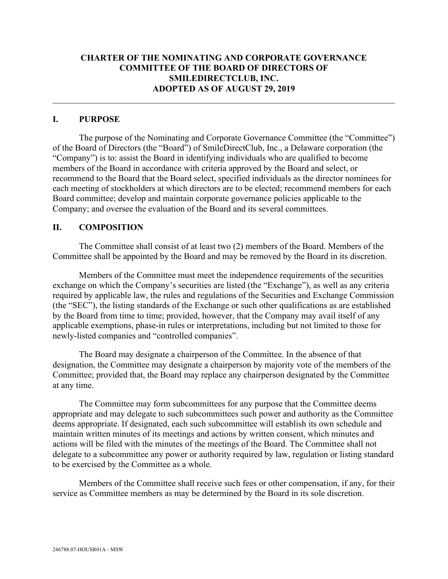# **CHARTER OF THE NOMINATING AND CORPORATE GOVERNANCE COMMITTEE OF THE BOARD OF DIRECTORS OF SMILEDIRECTCLUB, INC. ADOPTED AS OF AUGUST 29, 2019**

## **I. PURPOSE**

The purpose of the Nominating and Corporate Governance Committee (the "Committee") of the Board of Directors (the "Board") of SmileDirectClub, Inc., a Delaware corporation (the "Company") is to: assist the Board in identifying individuals who are qualified to become members of the Board in accordance with criteria approved by the Board and select, or recommend to the Board that the Board select, specified individuals as the director nominees for each meeting of stockholders at which directors are to be elected; recommend members for each Board committee; develop and maintain corporate governance policies applicable to the Company; and oversee the evaluation of the Board and its several committees.

# **II. COMPOSITION**

The Committee shall consist of at least two (2) members of the Board. Members of the Committee shall be appointed by the Board and may be removed by the Board in its discretion.

Members of the Committee must meet the independence requirements of the securities exchange on which the Company's securities are listed (the "Exchange"), as well as any criteria required by applicable law, the rules and regulations of the Securities and Exchange Commission (the "SEC"), the listing standards of the Exchange or such other qualifications as are established by the Board from time to time; provided, however, that the Company may avail itself of any applicable exemptions, phase-in rules or interpretations, including but not limited to those for newly-listed companies and "controlled companies".

The Board may designate a chairperson of the Committee. In the absence of that designation, the Committee may designate a chairperson by majority vote of the members of the Committee; provided that, the Board may replace any chairperson designated by the Committee at any time.

The Committee may form subcommittees for any purpose that the Committee deems appropriate and may delegate to such subcommittees such power and authority as the Committee deems appropriate. If designated, each such subcommittee will establish its own schedule and maintain written minutes of its meetings and actions by written consent, which minutes and actions will be filed with the minutes of the meetings of the Board. The Committee shall not delegate to a subcommittee any power or authority required by law, regulation or listing standard to be exercised by the Committee as a whole.

Members of the Committee shall receive such fees or other compensation, if any, for their service as Committee members as may be determined by the Board in its sole discretion.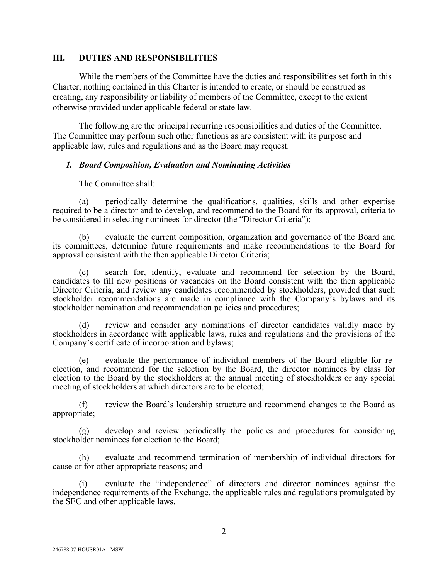#### **III. DUTIES AND RESPONSIBILITIES**

While the members of the Committee have the duties and responsibilities set forth in this Charter, nothing contained in this Charter is intended to create, or should be construed as creating, any responsibility or liability of members of the Committee, except to the extent otherwise provided under applicable federal or state law.

The following are the principal recurring responsibilities and duties of the Committee. The Committee may perform such other functions as are consistent with its purpose and applicable law, rules and regulations and as the Board may request.

#### *1. Board Composition, Evaluation and Nominating Activities*

The Committee shall:

(a) periodically determine the qualifications, qualities, skills and other expertise required to be a director and to develop, and recommend to the Board for its approval, criteria to be considered in selecting nominees for director (the "Director Criteria");

(b) evaluate the current composition, organization and governance of the Board and its committees, determine future requirements and make recommendations to the Board for approval consistent with the then applicable Director Criteria;

(c) search for, identify, evaluate and recommend for selection by the Board, candidates to fill new positions or vacancies on the Board consistent with the then applicable Director Criteria, and review any candidates recommended by stockholders, provided that such stockholder recommendations are made in compliance with the Company's bylaws and its stockholder nomination and recommendation policies and procedures;

(d) review and consider any nominations of director candidates validly made by stockholders in accordance with applicable laws, rules and regulations and the provisions of the Company's certificate of incorporation and bylaws;

(e) evaluate the performance of individual members of the Board eligible for re- election, and recommend for the selection by the Board, the director nominees by class for election to the Board by the stockholders at the annual meeting of stockholders or any special meeting of stockholders at which directors are to be elected;

(f) review the Board's leadership structure and recommend changes to the Board as appropriate;

develop and review periodically the policies and procedures for considering stockholder nominees for election to the Board;

(h) evaluate and recommend termination of membership of individual directors for cause or for other appropriate reasons; and

(i) evaluate the "independence" of directors and director nominees against the independence requirements of the Exchange, the applicable rules and regulations promulgated by the SEC and other applicable laws.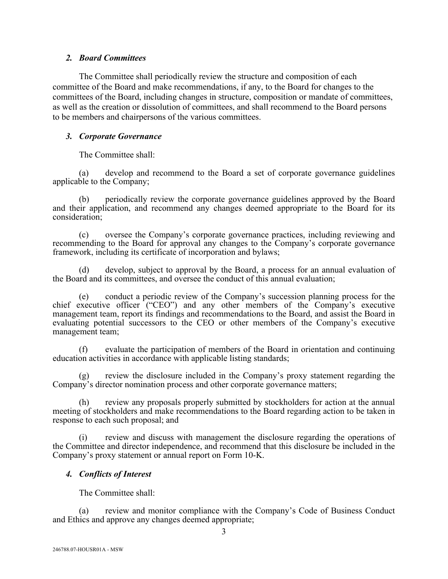## *2. Board Committees*

The Committee shall periodically review the structure and composition of each committee of the Board and make recommendations, if any, to the Board for changes to the committees of the Board, including changes in structure, composition or mandate of committees, as well as the creation or dissolution of committees, and shall recommend to the Board persons to be members and chairpersons of the various committees.

## *3. Corporate Governance*

The Committee shall:

(a) develop and recommend to the Board a set of corporate governance guidelines applicable to the Company;

(b) periodically review the corporate governance guidelines approved by the Board and their application, and recommend any changes deemed appropriate to the Board for its consideration;

(c) oversee the Company's corporate governance practices, including reviewing and recommending to the Board for approval any changes to the Company's corporate governance framework, including its certificate of incorporation and bylaws;

(d) develop, subject to approval by the Board, a process for an annual evaluation of the Board and its committees, and oversee the conduct of this annual evaluation;

(e) conduct a periodic review of the Company's succession planning process for the chief executive officer ("CEO") and any other members of the Company's executive management team, report its findings and recommendations to the Board, and assist the Board in evaluating potential successors to the CEO or other members of the Company's executive management team;

(f) evaluate the participation of members of the Board in orientation and continuing education activities in accordance with applicable listing standards;

(g) review the disclosure included in the Company's proxy statement regarding the Company's director nomination process and other corporate governance matters;

(h) review any proposals properly submitted by stockholders for action at the annual meeting of stockholders and make recommendations to the Board regarding action to be taken in response to each such proposal; and

(i) review and discuss with management the disclosure regarding the operations of the Committee and director independence, and recommend that this disclosure be included in the Company's proxy statement or annual report on Form 10-K.

## *4. Conflicts of Interest*

The Committee shall:

(a) review and monitor compliance with the Company's Code of Business Conduct and Ethics and approve any changes deemed appropriate;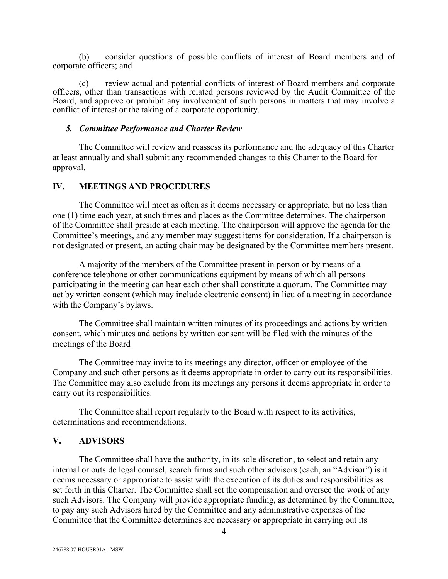(b) consider questions of possible conflicts of interest of Board members and of corporate officers; and

(c) review actual and potential conflicts of interest of Board members and corporate officers, other than transactions with related persons reviewed by the Audit Committee of the Board, and approve or prohibit any involvement of such persons in matters that may involve a conflict of interest or the taking of a corporate opportunity.

#### *5. Committee Performance and Charter Review*

The Committee will review and reassess its performance and the adequacy of this Charter at least annually and shall submit any recommended changes to this Charter to the Board for approval.

## **IV. MEETINGS AND PROCEDURES**

The Committee will meet as often as it deems necessary or appropriate, but no less than one (1) time each year, at such times and places as the Committee determines. The chairperson of the Committee shall preside at each meeting. The chairperson will approve the agenda for the Committee's meetings, and any member may suggest items for consideration. If a chairperson is not designated or present, an acting chair may be designated by the Committee members present.

A majority of the members of the Committee present in person or by means of a conference telephone or other communications equipment by means of which all persons participating in the meeting can hear each other shall constitute a quorum. The Committee may act by written consent (which may include electronic consent) in lieu of a meeting in accordance with the Company's bylaws.

The Committee shall maintain written minutes of its proceedings and actions by written consent, which minutes and actions by written consent will be filed with the minutes of the meetings of the Board

The Committee may invite to its meetings any director, officer or employee of the Company and such other persons as it deems appropriate in order to carry out its responsibilities. The Committee may also exclude from its meetings any persons it deems appropriate in order to carry out its responsibilities.

The Committee shall report regularly to the Board with respect to its activities, determinations and recommendations.

#### **V. ADVISORS**

The Committee shall have the authority, in its sole discretion, to select and retain any internal or outside legal counsel, search firms and such other advisors (each, an "Advisor") is it deems necessary or appropriate to assist with the execution of its duties and responsibilities as set forth in this Charter. The Committee shall set the compensation and oversee the work of any such Advisors. The Company will provide appropriate funding, as determined by the Committee, to pay any such Advisors hired by the Committee and any administrative expenses of the Committee that the Committee determines are necessary or appropriate in carrying out its